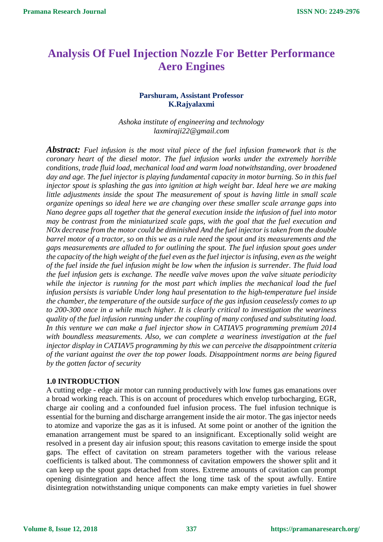# **Analysis Of Fuel Injection Nozzle For Better Performance Aero Engines**

# **Parshuram, Assistant Professor K.Rajyalaxmi**

*Ashoka institute of engineering and technology laxmiraji22@gmail.com*

*Abstract: Fuel infusion is the most vital piece of the fuel infusion framework that is the coronary heart of the diesel motor. The fuel infusion works under the extremely horrible conditions, trade fluid load, mechanical load and warm load notwithstanding, over broadened*  day and age. The fuel injector is playing fundamental capacity in motor burning. So in this fuel *injector spout is splashing the gas into ignition at high weight bar. Ideal here we are making little adjustments inside the spout The measurement of spout is having little in small scale organize openings so ideal here we are changing over these smaller scale arrange gaps into Nano degree gaps all together that the general execution inside the infusion of fuel into motor may be contrast from the miniaturized scale gaps, with the goal that the fuel execution and NOx decrease from the motor could be diminished And the fuel injector is taken from the double barrel motor of a tractor, so on this we as a rule need the spout and its measurements and the gaps measurements are alluded to for outlining the spout. The fuel infusion spout goes under the capacity of the high weight of the fuel even as the fuel injector is infusing, even as the weight of the fuel inside the fuel infusion might be low when the infusion is surrender. The fluid load the fuel infusion gets is exchange. The needle valve moves upon the valve situate periodicity while the injector is running for the most part which implies the mechanical load the fuel infusion persists is variable Under long haul presentation to the high-temperature fuel inside the chamber, the temperature of the outside surface of the gas infusion ceaselessly comes to up to 200-300 once in a while much higher. It is clearly critical to investigation the weariness quality of the fuel infusion running under the coupling of many confused and substituting load. In this venture we can make a fuel injector show in CATIAV5 programming premium 2014 with boundless measurements. Also, we can complete a weariness investigation at the fuel injector display in CATIAV5 programming by this we can perceive the disappointment criteria of the variant against the over the top power loads. Disappointment norms are being figured by the gotten factor of security*

## **1.0 INTRODUCTION**

A cutting edge - edge air motor can running productively with low fumes gas emanations over a broad working reach. This is on account of procedures which envelop turbocharging, EGR, charge air cooling and a confounded fuel infusion process. The fuel infusion technique is essential for the burning and discharge arrangement inside the air motor. The gas injector needs to atomize and vaporize the gas as it is infused. At some point or another of the ignition the emanation arrangement must be spared to an insignificant. Exceptionally solid weight are resolved in a present day air infusion spout; this reasons cavitation to emerge inside the spout gaps. The effect of cavitation on stream parameters together with the various release coefficients is talked about. The commonness of cavitation empowers the shower split and it can keep up the spout gaps detached from stores. Extreme amounts of cavitation can prompt opening disintegration and hence affect the long time task of the spout awfully. Entire disintegration notwithstanding unique components can make empty varieties in fuel shower

**Volume 8, Issue 12, 2018**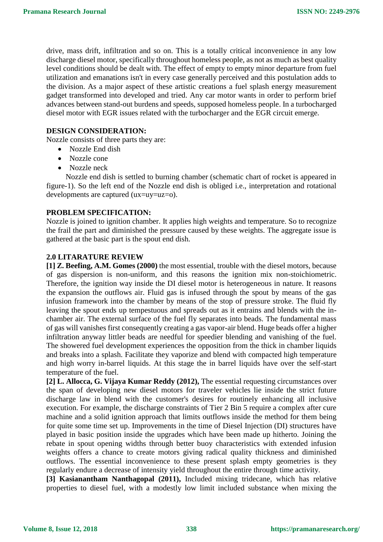drive, mass drift, infiltration and so on. This is a totally critical inconvenience in any low discharge diesel motor, specifically throughout homeless people, as not as much as best quality level conditions should be dealt with. The effect of empty to empty minor departure from fuel utilization and emanations isn't in every case generally perceived and this postulation adds to the division. As a major aspect of these artistic creations a fuel splash energy measurement gadget transformed into developed and tried. Any car motor wants in order to perform brief advances between stand-out burdens and speeds, supposed homeless people. In a turbocharged diesel motor with EGR issues related with the turbocharger and the EGR circuit emerge.

#### **DESIGN CONSIDERATION:**

Nozzle consists of three parts they are:

- Nozzle End dish
- Nozzle cone
- Nozzle neck

 Nozzle end dish is settled to burning chamber (schematic chart of rocket is appeared in figure-1). So the left end of the Nozzle end dish is obliged i.e., interpretation and rotational developments are captured (ux=uy=uz=o).

#### **PROBLEM SPECIFICATION:**

Nozzle is joined to ignition chamber. It applies high weights and temperature. So to recognize the frail the part and diminished the pressure caused by these weights. The aggregate issue is gathered at the basic part is the spout end dish.

#### **2.0 LITARATURE REVIEW**

**[1] Z. Beefing, A.M. Gomes (2000)** the most essential, trouble with the diesel motors, because of gas dispersion is non-uniform, and this reasons the ignition mix non-stoichiometric. Therefore, the ignition way inside the DI diesel motor is heterogeneous in nature. It reasons the expansion the outflows air. Fluid gas is infused through the spout by means of the gas infusion framework into the chamber by means of the stop of pressure stroke. The fluid fly leaving the spout ends up tempestuous and spreads out as it entrains and blends with the inchamber air. The external surface of the fuel fly separates into beads. The fundamental mass of gas will vanishes first consequently creating a gas vapor-air blend. Huge beads offer a higher infiltration anyway littler beads are needful for speedier blending and vanishing of the fuel. The showered fuel development experiences the opposition from the thick in chamber liquids and breaks into a splash. Facilitate they vaporize and blend with compacted high temperature and high worry in-barrel liquids. At this stage the in barrel liquids have over the self-start temperature of the fuel.

**[2] L. Allocca, G. Vijaya Kumar Reddy (2012),** The essential requesting circumstances over the span of developing new diesel motors for traveler vehicles lie inside the strict future discharge law in blend with the customer's desires for routinely enhancing all inclusive execution. For example, the discharge constraints of Tier 2 Bin 5 require a complex after cure machine and a solid ignition approach that limits outflows inside the method for them being for quite some time set up. Improvements in the time of Diesel Injection (DI) structures have played in basic position inside the upgrades which have been made up hitherto. Joining the rebate in spout opening widths through better buoy characteristics with extended infusion weights offers a chance to create motors giving radical quality thickness and diminished outflows. The essential inconvenience to these present splash empty geometries is they regularly endure a decrease of intensity yield throughout the entire through time activity.

**[3] Kasianantham Nanthagopal (2011),** Included mixing tridecane, which has relative properties to diesel fuel, with a modestly low limit included substance when mixing the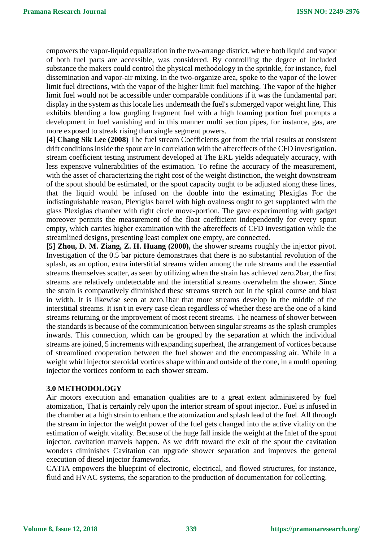empowers the vapor-liquid equalization in the two-arrange district, where both liquid and vapor of both fuel parts are accessible, was considered. By controlling the degree of included substance the makers could control the physical methodology in the sprinkle, for instance, fuel dissemination and vapor-air mixing. In the two-organize area, spoke to the vapor of the lower limit fuel directions, with the vapor of the higher limit fuel matching. The vapor of the higher limit fuel would not be accessible under comparable conditions if it was the fundamental part display in the system as this locale lies underneath the fuel's submerged vapor weight line, This exhibits blending a low gurgling fragment fuel with a high foaming portion fuel prompts a development in fuel vanishing and in this manner multi section pipes, for instance, gas, are more exposed to streak rising than single segment powers.

**[4] Chang Sik Lee (2008)** The fuel stream Coefficients got from the trial results at consistent drift conditions inside the spout are in correlation with the aftereffects of the CFD investigation. stream coefficient testing instrument developed at The ERL yields adequately accuracy, with less expensive vulnerabilities of the estimation. To refine the accuracy of the measurement, with the asset of characterizing the right cost of the weight distinction, the weight downstream of the spout should be estimated, or the spout capacity ought to be adjusted along these lines, that the liquid would be infused on the double into the estimating Plexiglas For the indistinguishable reason, Plexiglas barrel with high ovalness ought to get supplanted with the glass Plexiglas chamber with right circle move-portion. The gave experimenting with gadget moreover permits the measurement of the float coefficient independently for every spout empty, which carries higher examination with the aftereffects of CFD investigation while the streamlined designs, presenting least complex one empty, are connected.

**[5] Zhou, D. M. Ziang, Z. H. Huang (2000),** the shower streams roughly the injector pivot. Investigation of the 0.5 bar picture demonstrates that there is no substantial revolution of the splash, as an option, extra interstitial streams widen among the rule streams and the essential streams themselves scatter, as seen by utilizing when the strain has achieved zero.2bar, the first streams are relatively undetectable and the interstitial streams overwhelm the shower. Since the strain is comparatively diminished these streams stretch out in the spiral course and blast in width. It is likewise seen at zero.1bar that more streams develop in the middle of the interstitial streams. It isn't in every case clean regardless of whether these are the one of a kind streams returning or the improvement of most recent streams. The nearness of shower between the standards is because of the communication between singular streams as the splash crumples inwards. This connection, which can be grouped by the separation at which the individual streams are joined, 5 increments with expanding superheat, the arrangement of vortices because of streamlined cooperation between the fuel shower and the encompassing air. While in a weight whirl injector steroidal vortices shape within and outside of the cone, in a multi opening injector the vortices conform to each shower stream.

## **3.0 METHODOLOGY**

Air motors execution and emanation qualities are to a great extent administered by fuel atomization, That is certainly rely upon the interior stream of spout injector.. Fuel is infused in the chamber at a high strain to enhance the atomization and splash lead of the fuel. All through the stream in injector the weight power of the fuel gets changed into the active vitality on the estimation of weight vitality. Because of the huge fall inside the weight at the Inlet of the spout injector, cavitation marvels happen. As we drift toward the exit of the spout the cavitation wonders diminishes Cavitation can upgrade shower separation and improves the general execution of diesel injector frameworks.

CATIA empowers the blueprint of electronic, electrical, and flowed structures, for instance, fluid and HVAC systems, the separation to the production of documentation for collecting.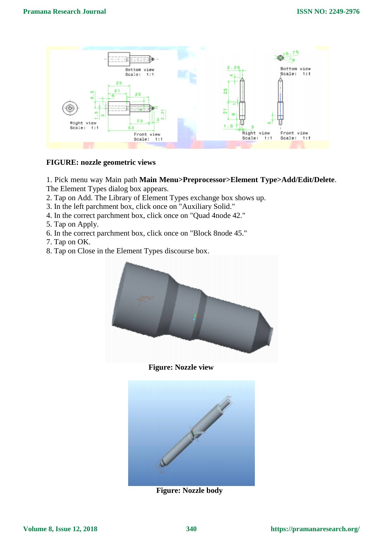

#### **FIGURE: nozzle geometric views**

1. Pick menu way Main path **Main Menu>Preprocessor>Element Type>Add/Edit/Delete**. The Element Types dialog box appears.

- 2. Tap on Add. The Library of Element Types exchange box shows up.
- 3. In the left parchment box, click once on "Auxiliary Solid."
- 4. In the correct parchment box, click once on "Quad 4node 42."
- 5. Tap on Apply.
- 6. In the correct parchment box, click once on "Block 8node 45."
- 7. Tap on OK.
- 8. Tap on Close in the Element Types discourse box.



 **Figure: Nozzle view** 



 **Figure: Nozzle body**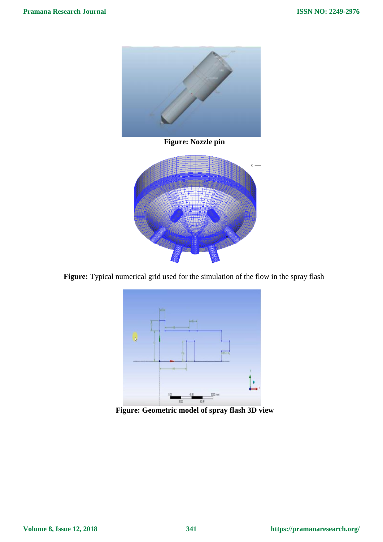

 **Figure: Nozzle pin** 



 **Figure:** Typical numerical grid used for the simulation of the flow in the spray flash



 **Figure: Geometric model of spray flash 3D view**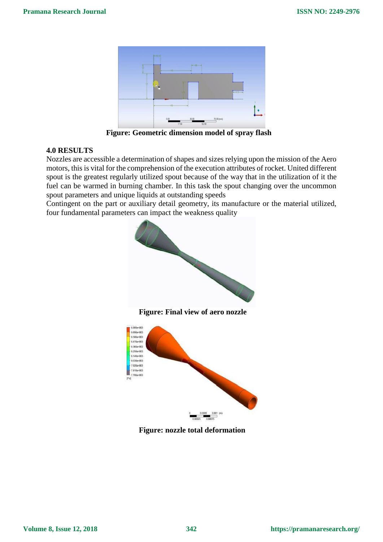

 **Figure: Geometric dimension model of spray flash**

## **4.0 RESULTS**

Nozzles are accessible a determination of shapes and sizes relying upon the mission of the Aero motors, this is vital for the comprehension of the execution attributes of rocket. United different spout is the greatest regularly utilized spout because of the way that in the utilization of it the fuel can be warmed in burning chamber. In this task the spout changing over the uncommon spout parameters and unique liquids at outstanding speeds

Contingent on the part or auxiliary detail geometry, its manufacture or the material utilized, four fundamental parameters can impact the weakness quality



 **Figure: nozzle total deformation**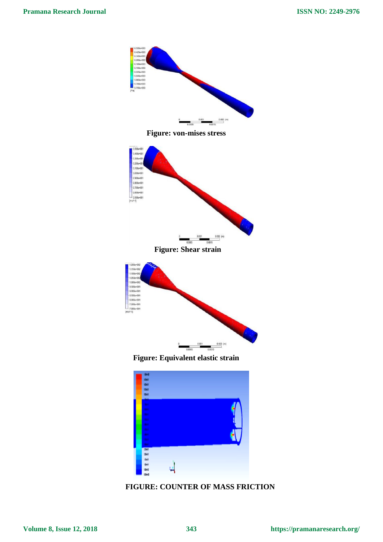



**Volume 8, Issue 12, 2018**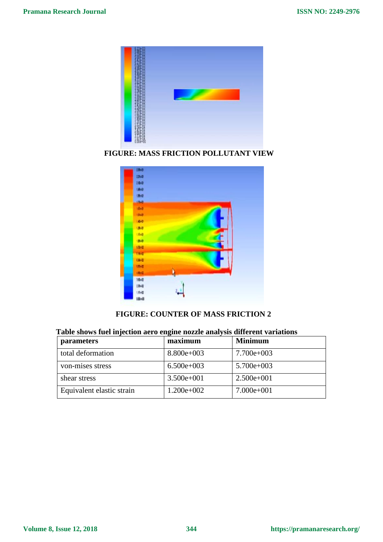

 **FIGURE: MASS FRICTION POLLUTANT VIEW**



# **FIGURE: COUNTER OF MASS FRICTION 2**

| Table shows fuel hijection aero engine hozzle analysis unterent variations |              |                |
|----------------------------------------------------------------------------|--------------|----------------|
| <i>parameters</i>                                                          | maximum      | <b>Minimum</b> |
| total deformation                                                          | $8.800e+003$ | $7.700e+003$   |
| von-mises stress                                                           | $6.500e+003$ | $5.700e+003$   |
| shear stress                                                               | $3.500e+001$ | $2.500e+001$   |

# **Table shows fuel injection aero engine nozzle analysis different variations**

Equivalent elastic strain  $1.200e+002$  7.000e+001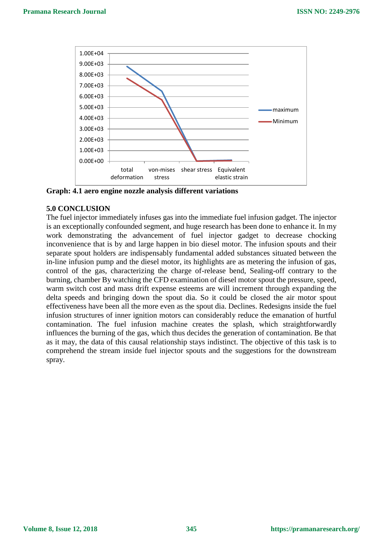

**Graph: 4.1 aero engine nozzle analysis different variations**

#### **5.0 CONCLUSION**

The fuel injector immediately infuses gas into the immediate fuel infusion gadget. The injector is an exceptionally confounded segment, and huge research has been done to enhance it. In my work demonstrating the advancement of fuel injector gadget to decrease chocking inconvenience that is by and large happen in bio diesel motor. The infusion spouts and their separate spout holders are indispensably fundamental added substances situated between the in-line infusion pump and the diesel motor, its highlights are as metering the infusion of gas, control of the gas, characterizing the charge of-release bend, Sealing-off contrary to the burning, chamber By watching the CFD examination of diesel motor spout the pressure, speed, warm switch cost and mass drift expense esteems are will increment through expanding the delta speeds and bringing down the spout dia. So it could be closed the air motor spout effectiveness have been all the more even as the spout dia. Declines. Redesigns inside the fuel infusion structures of inner ignition motors can considerably reduce the emanation of hurtful contamination. The fuel infusion machine creates the splash, which straightforwardly influences the burning of the gas, which thus decides the generation of contamination. Be that as it may, the data of this causal relationship stays indistinct. The objective of this task is to comprehend the stream inside fuel injector spouts and the suggestions for the downstream spray.